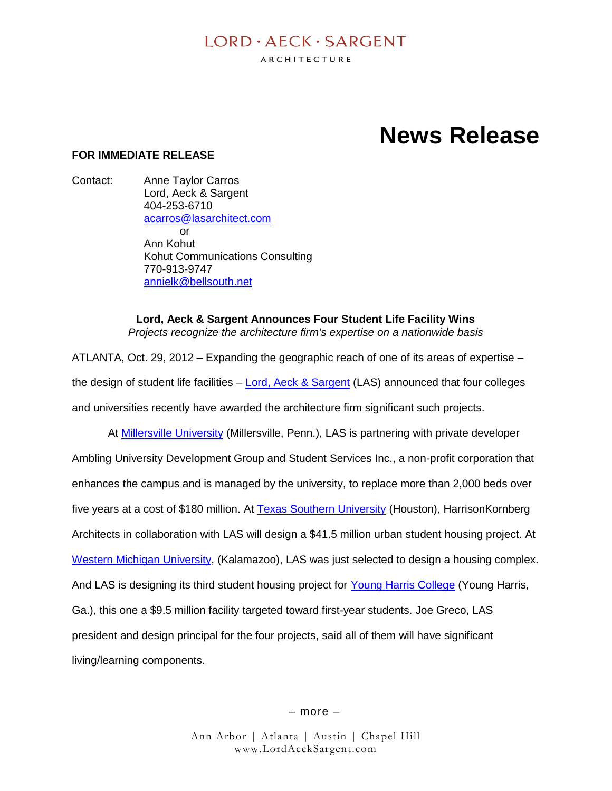# $I$  ORD  $\cdot$  AECK  $\cdot$  SARGENT

ARCHITECTURE

# **News Release**

## **FOR IMMEDIATE RELEASE**

Contact: Anne Taylor Carros Lord, Aeck & Sargent 404-253-6710 acarros@lasarchitect.com  $\alpha$ r Ann Kohut Kohut Communications Consulting 770-913-9747 annielk@bellsouth.net

> **Lord, Aeck & Sargent Announces Four Student Life Facility Wins** *Projects recognize the architecture firm's expertise on a nationwide basis*

ATLANTA, Oct. 29, 2012 – Expanding the geographic reach of one of its areas of expertise – the design of student life facilities  $-$  Lord, Aeck & Sargent (LAS) announced that four colleges and universities recently have awarded the architecture firm significant such projects.

At Millersville University (Millersville, Penn.), LAS is partnering with private developer Ambling University Development Group and Student Services Inc., a non-profit corporation that enhances the campus and is managed by the university, to replace more than 2,000 beds over five years at a cost of \$180 million. At Texas Southern University (Houston), HarrisonKornberg Architects in collaboration with LAS will design a \$41.5 million urban student housing project. At Western Michigan University, (Kalamazoo), LAS was just selected to design a housing complex. And LAS is designing its third student housing project for Young Harris College (Young Harris, Ga.), this one a \$9.5 million facility targeted toward first-year students. Joe Greco, LAS president and design principal for the four projects, said all of them will have significant living/learning components.

– more –

Ann Arbor | Atlanta | Austin | Chapel Hill www.LordAeckSargent.com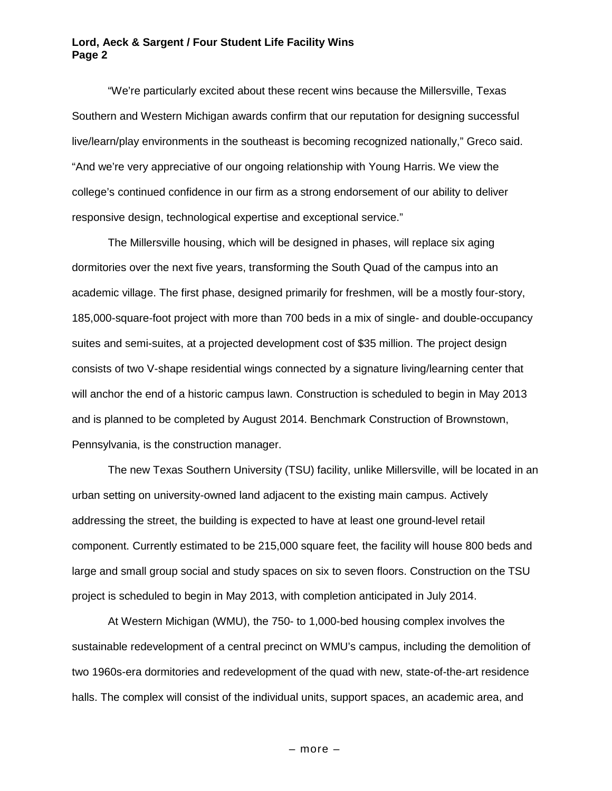#### **Lord, Aeck & Sargent / Four Student Life Facility Wins Page 2**

"We're particularly excited about these recent wins because the Millersville, Texas Southern and Western Michigan awards confirm that our reputation for designing successful live/learn/play environments in the southeast is becoming recognized nationally," Greco said. "And we're very appreciative of our ongoing relationship with Young Harris. We view the college's continued confidence in our firm as a strong endorsement of our ability to deliver responsive design, technological expertise and exceptional service."

The Millersville housing, which will be designed in phases, will replace six aging dormitories over the next five years, transforming the South Quad of the campus into an academic village. The first phase, designed primarily for freshmen, will be a mostly four-story, 185,000-square-foot project with more than 700 beds in a mix of single- and double-occupancy suites and semi-suites, at a projected development cost of \$35 million. The project design consists of two V-shape residential wings connected by a signature living/learning center that will anchor the end of a historic campus lawn. Construction is scheduled to begin in May 2013 and is planned to be completed by August 2014. Benchmark Construction of Brownstown, Pennsylvania, is the construction manager.

The new Texas Southern University (TSU) facility, unlike Millersville, will be located in an urban setting on university-owned land adjacent to the existing main campus. Actively addressing the street, the building is expected to have at least one ground-level retail component. Currently estimated to be 215,000 square feet, the facility will house 800 beds and large and small group social and study spaces on six to seven floors. Construction on the TSU project is scheduled to begin in May 2013, with completion anticipated in July 2014.

At Western Michigan (WMU), the 750- to 1,000-bed housing complex involves the sustainable redevelopment of a central precinct on WMU's campus, including the demolition of two 1960s-era dormitories and redevelopment of the quad with new, state-of-the-art residence halls. The complex will consist of the individual units, support spaces, an academic area, and